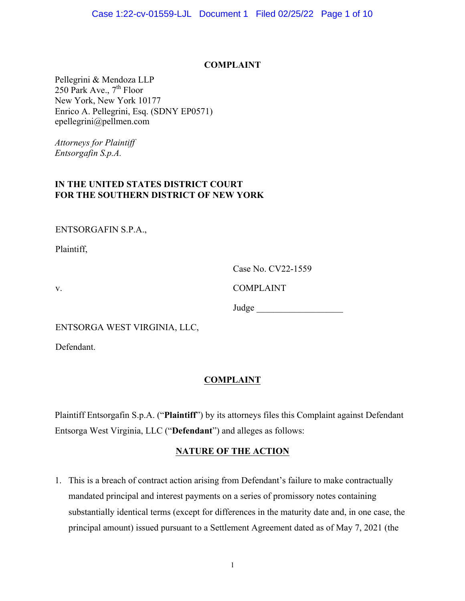#### **COMPLAINT**

Pellegrini & Mendoza LLP 250 Park Ave.,  $7<sup>th</sup>$  Floor New York, New York 10177 Enrico A. Pellegrini, Esq. (SDNY EP0571) epellegrini@pellmen.com

*Attorneys for Plaintiff Entsorgafin S.p.A.*

### **IN THE UNITED STATES DISTRICT COURT FOR THE SOUTHERN DISTRICT OF NEW YORK**

ENTSORGAFIN S.P.A.,

Plaintiff,

| Case No. CV22-1559 |  |
|--------------------|--|
|--------------------|--|

v. COMPLAINT

Judge \_\_\_\_\_\_\_\_\_\_\_\_\_\_\_\_\_\_\_

ENTSORGA WEST VIRGINIA, LLC,

Defendant.

# **COMPLAINT**

Plaintiff Entsorgafin S.p.A. ("**Plaintiff**") by its attorneys files this Complaint against Defendant Entsorga West Virginia, LLC ("**Defendant**") and alleges as follows:

### **NATURE OF THE ACTION**

1. This is a breach of contract action arising from Defendant's failure to make contractually mandated principal and interest payments on a series of promissory notes containing substantially identical terms (except for differences in the maturity date and, in one case, the principal amount) issued pursuant to a Settlement Agreement dated as of May 7, 2021 (the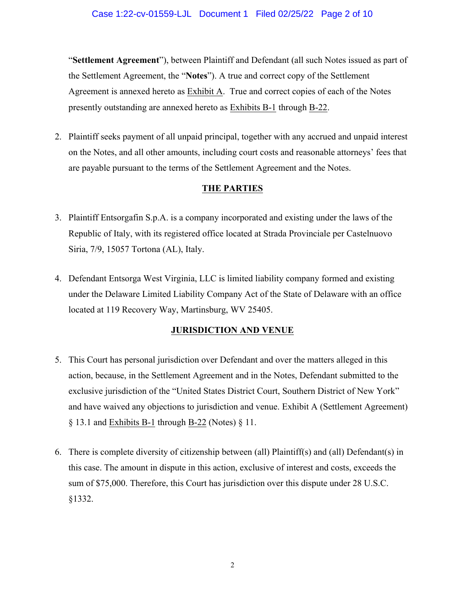"**Settlement Agreement**"), between Plaintiff and Defendant (all such Notes issued as part of the Settlement Agreement, the "**Notes**"). A true and correct copy of the Settlement Agreement is annexed hereto as Exhibit A. True and correct copies of each of the Notes presently outstanding are annexed hereto as Exhibits B-1 through B-22.

2. Plaintiff seeks payment of all unpaid principal, together with any accrued and unpaid interest on the Notes, and all other amounts, including court costs and reasonable attorneys' fees that are payable pursuant to the terms of the Settlement Agreement and the Notes.

### **THE PARTIES**

- 3. Plaintiff Entsorgafin S.p.A. is a company incorporated and existing under the laws of the Republic of Italy, with its registered office located at Strada Provinciale per Castelnuovo Siria, 7/9, 15057 Tortona (AL), Italy.
- 4. Defendant Entsorga West Virginia, LLC is limited liability company formed and existing under the Delaware Limited Liability Company Act of the State of Delaware with an office located at 119 Recovery Way, Martinsburg, WV 25405.

# **JURISDICTION AND VENUE**

- 5. This Court has personal jurisdiction over Defendant and over the matters alleged in this action, because, in the Settlement Agreement and in the Notes, Defendant submitted to the exclusive jurisdiction of the "United States District Court, Southern District of New York" and have waived any objections to jurisdiction and venue. Exhibit A (Settlement Agreement)  $§$  13.1 and Exhibits B-1 through B-22 (Notes)  $§$  11.
- 6. There is complete diversity of citizenship between (all) Plaintiff(s) and (all) Defendant(s) in this case. The amount in dispute in this action, exclusive of interest and costs, exceeds the sum of \$75,000. Therefore, this Court has jurisdiction over this dispute under 28 U.S.C. §1332.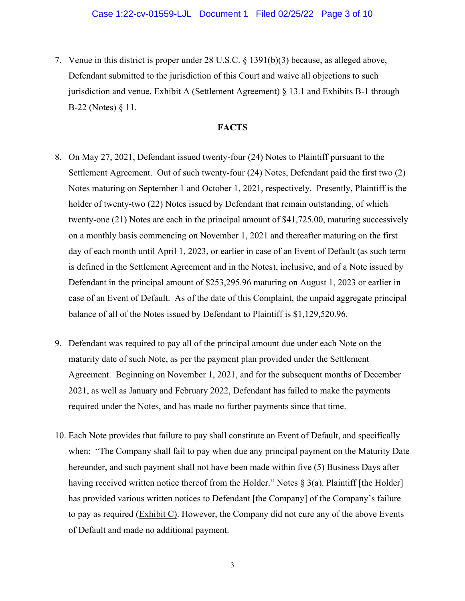7. Venue in this district is proper under 28 U.S.C. § 1391(b)(3) because, as alleged above, Defendant submitted to the jurisdiction of this Court and waive all objections to such jurisdiction and venue. Exhibit A (Settlement Agreement) § 13.1 and Exhibits B-1 through B-22 (Notes) § 11.

### **FACTS**

- 8. On May 27, 2021, Defendant issued twenty-four (24) Notes to Plaintiff pursuant to the Settlement Agreement. Out of such twenty-four (24) Notes, Defendant paid the first two (2) Notes maturing on September 1 and October 1, 2021, respectively. Presently, Plaintiff is the holder of twenty-two (22) Notes issued by Defendant that remain outstanding, of which twenty-one (21) Notes are each in the principal amount of \$41,725.00, maturing successively on a monthly basis commencing on November 1, 2021 and thereafter maturing on the first day of each month until April 1, 2023, or earlier in case of an Event of Default (as such term is defined in the Settlement Agreement and in the Notes), inclusive, and of a Note issued by Defendant in the principal amount of \$253,295.96 maturing on August 1, 2023 or earlier in case of an Event of Default. As of the date of this Complaint, the unpaid aggregate principal balance of all of the Notes issued by Defendant to Plaintiff is \$1,129,520.96.
- 9. Defendant was required to pay all of the principal amount due under each Note on the maturity date of such Note, as per the payment plan provided under the Settlement Agreement. Beginning on November 1, 2021, and for the subsequent months of December 2021, as well as January and February 2022, Defendant has failed to make the payments required under the Notes, and has made no further payments since that time.
- 10. Each Note provides that failure to pay shall constitute an Event of Default, and specifically when: "The Company shall fail to pay when due any principal payment on the Maturity Date hereunder, and such payment shall not have been made within five (5) Business Days after having received written notice thereof from the Holder." Notes § 3(a). Plaintiff [the Holder] has provided various written notices to Defendant [the Company] of the Company's failure to pay as required (Exhibit C). However, the Company did not cure any of the above Events of Default and made no additional payment.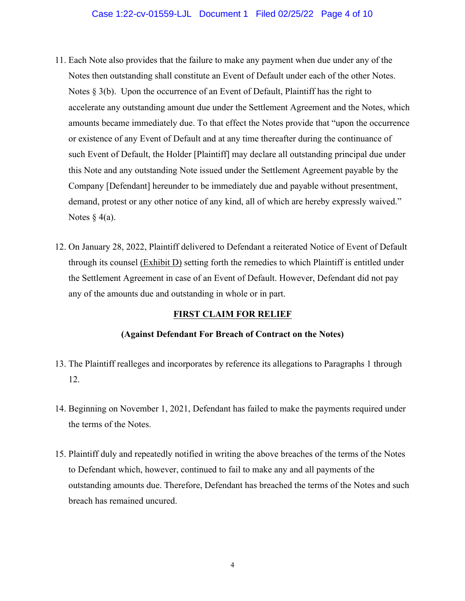#### Case 1:22-cv-01559-LJL Document 1 Filed 02/25/22 Page 4 of 10

- 11. Each Note also provides that the failure to make any payment when due under any of the Notes then outstanding shall constitute an Event of Default under each of the other Notes. Notes § 3(b). Upon the occurrence of an Event of Default, Plaintiff has the right to accelerate any outstanding amount due under the Settlement Agreement and the Notes, which amounts became immediately due. To that effect the Notes provide that "upon the occurrence or existence of any Event of Default and at any time thereafter during the continuance of such Event of Default, the Holder [Plaintiff] may declare all outstanding principal due under this Note and any outstanding Note issued under the Settlement Agreement payable by the Company [Defendant] hereunder to be immediately due and payable without presentment, demand, protest or any other notice of any kind, all of which are hereby expressly waived." Notes  $§$  4(a).
- 12. On January 28, 2022, Plaintiff delivered to Defendant a reiterated Notice of Event of Default through its counsel (Exhibit D) setting forth the remedies to which Plaintiff is entitled under the Settlement Agreement in case of an Event of Default. However, Defendant did not pay any of the amounts due and outstanding in whole or in part.

#### **FIRST CLAIM FOR RELIEF**

#### **(Against Defendant For Breach of Contract on the Notes)**

- 13. The Plaintiff realleges and incorporates by reference its allegations to Paragraphs 1 through 12.
- 14. Beginning on November 1, 2021, Defendant has failed to make the payments required under the terms of the Notes.
- 15. Plaintiff duly and repeatedly notified in writing the above breaches of the terms of the Notes to Defendant which, however, continued to fail to make any and all payments of the outstanding amounts due. Therefore, Defendant has breached the terms of the Notes and such breach has remained uncured.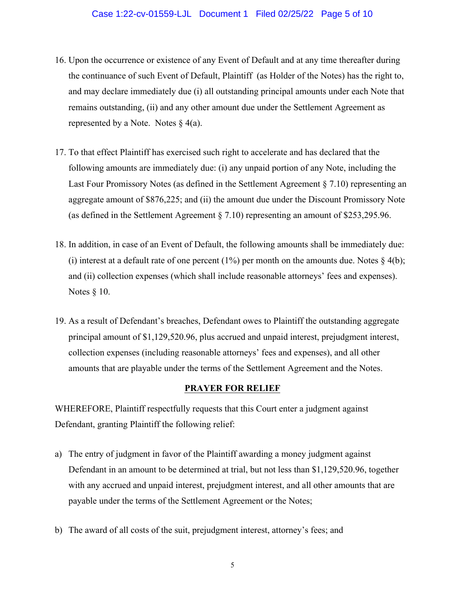#### Case 1:22-cv-01559-LJL Document 1 Filed 02/25/22 Page 5 of 10

- 16. Upon the occurrence or existence of any Event of Default and at any time thereafter during the continuance of such Event of Default, Plaintiff (as Holder of the Notes) has the right to, and may declare immediately due (i) all outstanding principal amounts under each Note that remains outstanding, (ii) and any other amount due under the Settlement Agreement as represented by a Note. Notes  $\frac{1}{2}$  4(a).
- 17. To that effect Plaintiff has exercised such right to accelerate and has declared that the following amounts are immediately due: (i) any unpaid portion of any Note, including the Last Four Promissory Notes (as defined in the Settlement Agreement § 7.10) representing an aggregate amount of \$876,225; and (ii) the amount due under the Discount Promissory Note (as defined in the Settlement Agreement § 7.10) representing an amount of \$253,295.96.
- 18. In addition, in case of an Event of Default, the following amounts shall be immediately due: (i) interest at a default rate of one percent (1%) per month on the amounts due. Notes  $\S$  4(b); and (ii) collection expenses (which shall include reasonable attorneys' fees and expenses). Notes § 10.
- 19. As a result of Defendant's breaches, Defendant owes to Plaintiff the outstanding aggregate principal amount of \$1,129,520.96, plus accrued and unpaid interest, prejudgment interest, collection expenses (including reasonable attorneys' fees and expenses), and all other amounts that are playable under the terms of the Settlement Agreement and the Notes.

#### **PRAYER FOR RELIEF**

WHEREFORE, Plaintiff respectfully requests that this Court enter a judgment against Defendant, granting Plaintiff the following relief:

- a) The entry of judgment in favor of the Plaintiff awarding a money judgment against Defendant in an amount to be determined at trial, but not less than \$1,129,520.96, together with any accrued and unpaid interest, prejudgment interest, and all other amounts that are payable under the terms of the Settlement Agreement or the Notes;
- b) The award of all costs of the suit, prejudgment interest, attorney's fees; and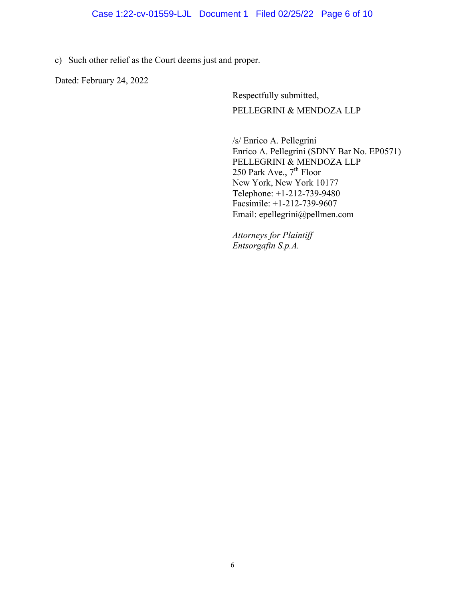### Case 1:22-cv-01559-LJL Document 1 Filed 02/25/22 Page 6 of 10

c) Such other relief as the Court deems just and proper.

Dated: February 24, 2022

Respectfully submitted, PELLEGRINI & MENDOZA LLP

/s/ Enrico A. Pellegrini Enrico A. Pellegrini (SDNY Bar No. EP0571) PELLEGRINI & MENDOZA LLP 250 Park Ave.,  $7<sup>th</sup>$  Floor New York, New York 10177 Telephone: +1-212-739-9480 Facsimile: +1-212-739-9607 Email: epellegrini@pellmen.com

*Attorneys for Plaintiff Entsorgafin S.p.A.*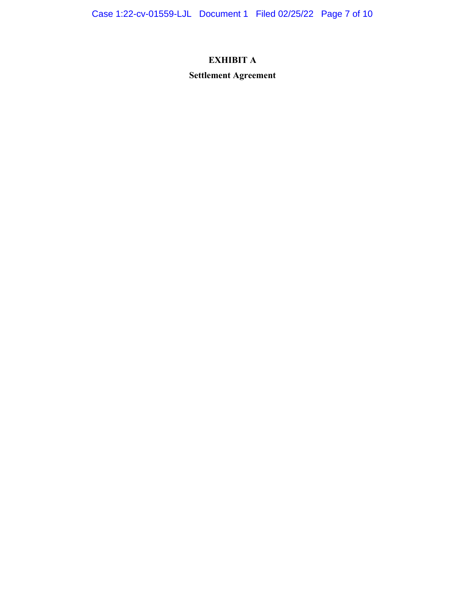Case 1:22-cv-01559-LJL Document 1 Filed 02/25/22 Page 7 of 10

# **EXHIBIT A**

**Settlement Agreement**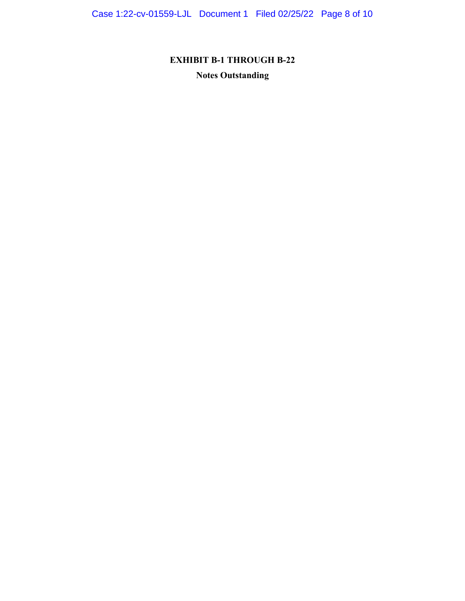Case 1:22-cv-01559-LJL Document 1 Filed 02/25/22 Page 8 of 10

**EXHIBIT B-1 THROUGH B-22 Notes Outstanding**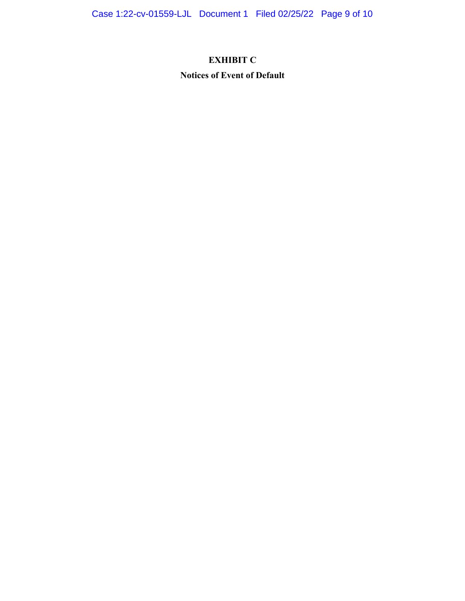# **EXHIBIT C**

# **Notices of Event of Default**